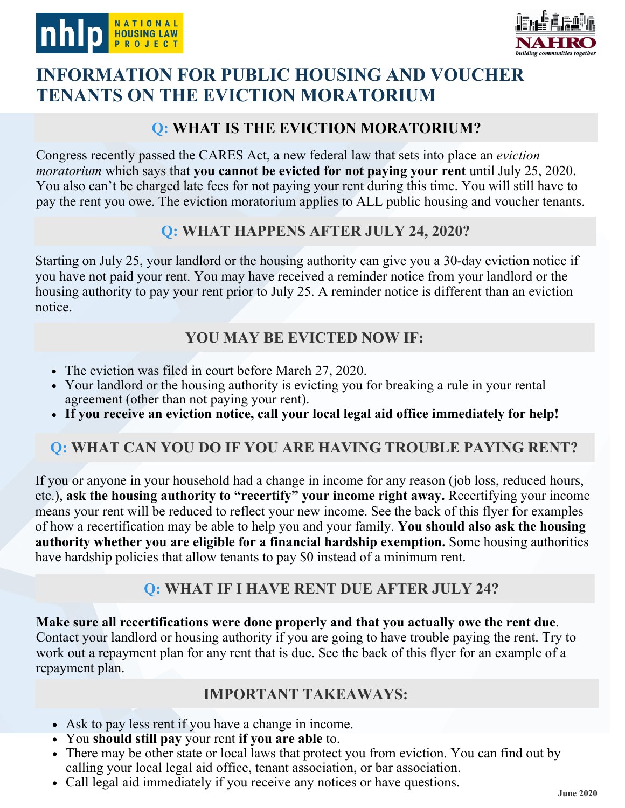



# **INFORMATION FOR PUBLIC HOUSING AND VOUCHER TENANTS ON THE EVICTION MORATORIUM**

#### **Q: WHAT IS THE EVICTION MORATORIUM?**

Congress recently passed the CARES Act, a new federal law that sets into place an *eviction moratorium* which says that **you cannot be evicted for not paying your rent** until July 25, 2020. You also can't be charged late fees for not paying your rent during this time. You will still have to pay the rent you owe. The eviction moratorium applies to ALL public housing and voucher tenants.

## **Q: WHAT HAPPENS AFTER JULY 24, 2020?**

Starting on July 25, your landlord or the housing authority can give you a 30-day eviction notice if you have not paid your rent. You may have received a reminder notice from your landlord or the housing authority to pay your rent prior to July 25. A reminder notice is different than an eviction notice.

## **YOU MAY BE EVICTED NOW IF:**

- The eviction was filed in court before March 27, 2020.
- Your landlord or the housing authority is evicting you for breaking a rule in your rental agreement (other than not paying your rent).
- **If you receive an eviction notice, call your local legal aid office immediately for help!**

## **Q: WHAT CAN YOU DO IF YOU ARE HAVING TROUBLE PAYING RENT?**

If you or anyone in your household had a change in income for any reason (job loss, reduced hours, etc.), **ask the housing authority to "recertify" your income right away.** Recertifying your income means your rent will be reduced to reflect your new income. See the back of this flyer for examples of how a recertification may be able to help you and your family. **You should also ask the housing authority whether you are eligible for a financial hardship exemption.** Some housing authorities have hardship policies that allow tenants to pay \$0 instead of a minimum rent.

## **Q: WHAT IF I HAVE RENT DUE AFTER JULY 24?**

**Make sure all recertifications were done properly and that you actually owe the rent due**. Contact your landlord or housing authority if you are going to have trouble paying the rent. Try to work out a repayment plan for any rent that is due. See the back of this flyer for an example of a repayment plan.

#### **IMPORTANT TAKEAWAYS:**

- Ask to pay less rent if you have a change in income.
- You **should still pay** your rent **if you are able** to.
- There may be other state or local laws that protect you from eviction. You can find out by calling your local legal aid office, tenant association, or bar association.
- Call legal aid immediately if you receive any notices or have questions.